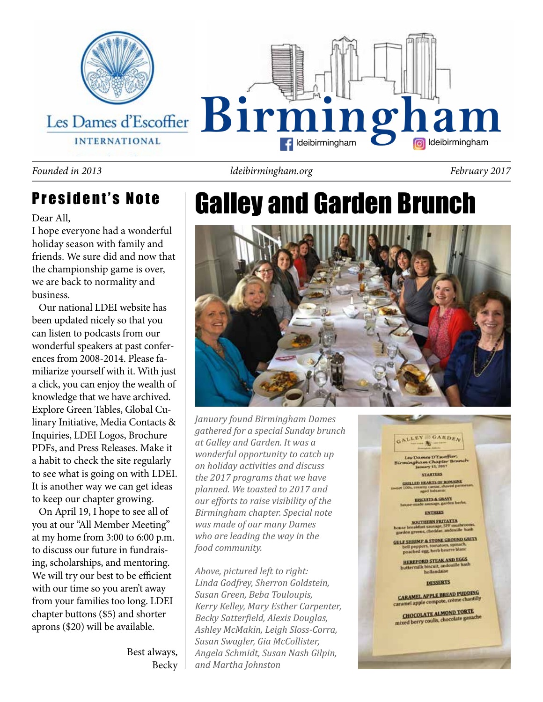

#### *Founded in 2013 ldeibirmingham.org February 2017*

### President's Note

#### Dear All,

I hope everyone had a wonderful holiday season with family and friends. We sure did and now that the championship game is over, we are back to normality and business.

 Our national LDEI website has been updated nicely so that you can listen to podcasts from our wonderful speakers at past conferences from 2008-2014. Please familiarize yourself with it. With just a click, you can enjoy the wealth of knowledge that we have archived. Explore Green Tables, Global Culinary Initiative, Media Contacts & Inquiries, LDEI Logos, Brochure PDFs, and Press Releases. Make it a habit to check the site regularly to see what is going on with LDEI. It is another way we can get ideas to keep our chapter growing.

 On April 19, I hope to see all of you at our "All Member Meeting" at my home from 3:00 to 6:00 p.m. to discuss our future in fundraising, scholarships, and mentoring. We will try our best to be efficient with our time so you aren't away from your families too long. LDEI chapter buttons (\$5) and shorter aprons (\$20) will be available.

> Best always, Becky

# Galley and Garden Brunch



*January found Birmingham Dames gathered for a special Sunday brunch at Galley and Garden. It was a wonderful opportunity to catch up on holiday activities and discuss the 2017 programs that we have planned. We toasted to 2017 and our efforts to raise visibility of the Birmingham chapter. Special note was made of our many Dames who are leading the way in the food community.*

*Above, pictured left to right: Linda Godfrey, Sherron Goldstein, Susan Green, Beba Touloupis, Kerry Kelley, Mary Esther Carpenter, Becky Satterfield, Alexis Douglas, Ashley McMakin, Leigh Sloss-Corra, Susan Swagler, Gia McCollister, Angela Schmidt, Susan Nash Gilpin, and Martha Johnston*

GALLEY GARDEN  $-36 -$ Les Dames D'Escoffier ingham Chapter B **STARTERS** GRILLED HEARTS OF ROMAINE HISCUITS & GRAVE **INTREES** SOUTHERN FRITATTA breakfast sausage, SFF musture<br>len greens, cheddar, andouille to **ULF SHRIMP & STONE GROUND GRITS** bell peppers, tomatoes, spinach,<br>poached egg, herb bearre blanc **HEREFORD STEAK AND EGGS** buttermilk biscuit, and<br>hollandaise **DESSERTS CARAMEL APPLE BREAD PUDDING** CARAMEL APPLe compote, crème cha CHOCOLATE ALMOND TORTE mixed berry coulis, chocolate ganache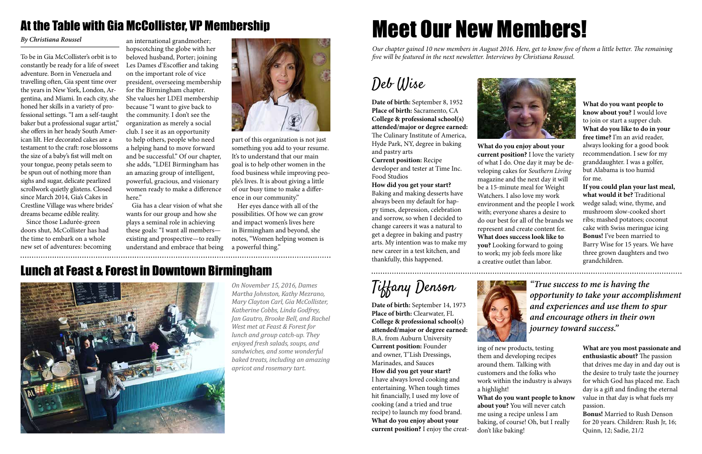### At the Table with Gia McCollister, VP Membership

To be in Gia McCollister's orbit is to constantly be ready for a life of sweet adventure. Born in Venezuela and travelling often, Gia spent time over the years in New York, London, Argentina, and Miami. In each city, she honed her skills in a variety of professional settings. "I am a self-taught baker but a professional sugar artist," she offers in her heady South American lilt. Her decorated cakes are a testament to the craft: rose blossoms the size of a baby's fist will melt on your tongue, peony petals seem to be spun out of nothing more than sighs and sugar, delicate pearlized scrollwork quietly glistens. Closed since March 2014, Gia's Cakes in Crestline Village was where brides' dreams became edible reality.

Since those Ladurée-green doors shut, McCollister has had the time to embark on a whole new set of adventures: becoming

an international grandmother; hopscotching the globe with her beloved husband, Porter; joining Les Dames d'Escoffier and taking on the important role of vice president, overseeing membership for the Birmingham chapter. She values her LDEI membership because "I want to give back to the community. I don't see the organization as merely a social club. I see it as an opportunity to help others, people who need a helping hand to move forward and be successful." Of our chapter, she adds, "LDEI Birmingham has an amazing group of intelligent, powerful, gracious, and visionary women ready to make a difference here."

Gia has a clear vision of what she wants for our group and how she plays a seminal role in achieving these goals: "I want all members existing and prospective—to really understand and embrace that being



### *By Christiana Roussel*

### Lunch at Feast & Forest in Downtown Birmingham



part of this organization is not just something you add to your resume. It's to understand that our main goal is to help other women in the food business while improving people's lives. It is about giving a little of our busy time to make a difference in our community."

Her eyes dance with all of the possibilities. Of how we can grow and impact women's lives here in Birmingham and beyond, she notes, "Women helping women is a powerful thing."

*On November 15, 2016, Dames Martha Johnston, Kathy Mezrano, Mary Clayton Carl, Gia McCollister, Katherine Cobbs, Linda Godfrey, Jan Gautro, Brooke Bell, and Rachel West met at Feast & Forest for lunch and group catch-up. They enjoyed fresh salads, soups, and sandwiches, and some wonderful baked treats, including an amazing apricot and rosemary tart.*

### Deb Wise

**Date of birth:** September 8, 1952 **Place of birth:** Sacramento, CA **College & professional school(s) attended/major or degree earned:**  The Culinary Institute of America, Hyde Park, NY, degree in baking and pastry arts

**Current position:** Recipe developer and tester at Time Inc. Food Studios

**How did you get your start?**  Baking and making desserts have always been my default for happy times, depression, celebration and sorrow, so when I decided to change careers it was a natural to get a degree in baking and pastry arts. My intention was to make my new career in a test kitchen, and thankfully, this happened.

**What do you want people to know about you?** I would love to join or start a supper club. **What do you like to do in your free time?** I'm an avid reader, always looking for a good book recommendation. I sew for my granddaughter. I was a golfer, but Alabama is too humid for me.

**If you could plan your last meal, what would it be?** Traditional wedge salad; wine, thyme, and mushroom slow-cooked short ribs; mashed potatoes; coconut cake with Swiss meringue icing **Bonus!** I've been married to Barry Wise for 15 years. We have three grown daughters and two grandchildren.



**What do you enjoy about your current position?** I love the variety of what I do. One day it may be developing cakes for *Southern Living* magazine and the next day it will be a 15-minute meal for Weight Watchers. I also love my work environment and the people I work with; everyone shares a desire to do our best for all of the brands we represent and create content for. **What does success look like to you?** Looking forward to going to work; my job feels more like

a creative outlet than labor.

# Meet Our New Members!

*Our chapter gained 10 new members in August 2016. Here, get to know five of them a little better. The remaining five will be featured in the next newsletter. Interviews by Christiana Roussel.*

# Tiffany Denson

**Date of birth:** September 14, 1973 **Place of birth:** Clearwater, FL **College & professional school(s) attended/major or degree earned:**  B.A. from Auburn University **Current position:** Founder and owner, T'Lish Dressings, Marinades, and Sauces **How did you get your start?**  I have always loved cooking and entertaining. When tough times hit financially, I used my love of

cooking (and a tried and true recipe) to launch my food brand. **What do you enjoy about your current position?** I enjoy the creat-



**What are you most passionate and enthusiastic about?** The passion that drives me day in and day out is the desire to truly taste the journey for which God has placed me. Each day is a gift and finding the eternal value in that day is what fuels my passion.

**Bonus!** Married to Rush Denson for 20 years. Children: Rush Jr, 16; Quinn, 12; Sadie, 21/2

ing of new products, testing them and developing recipes customers and the folks who work within the industry is always

around them. Talking with a highlight! don't like baking!

**What do you want people to know about you?** You will never catch me using a recipe unless I am baking, of course! Oh, but I really

*"True success to me is having the opportunity to take your accomplishment and experiences and use them to spur and encourage others in their own journey toward success."*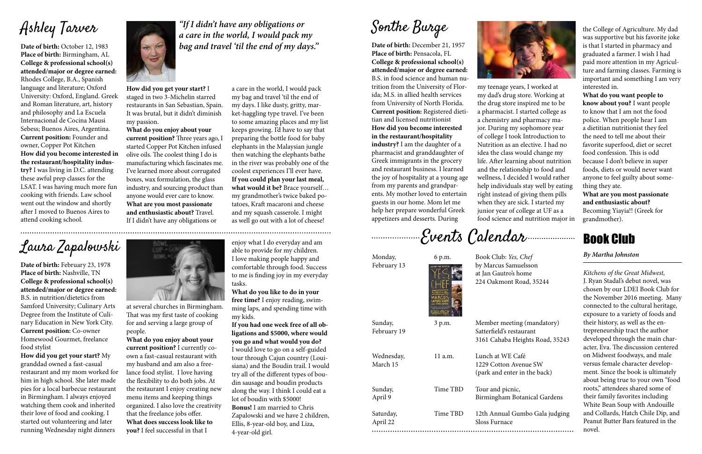# Ashley Tarver

**Date of birth:** October 12, 1983 **Place of birth:** Birmingham, AL **College & professional school(s) attended/major or degree earned:**  Rhodes College, B.A., Spanish language and literature; Oxford University: Oxford, England. Greek and Roman literature, art, history and philosophy and La Escuela Internacional de Cocina Mausi Sebess; Buenos Aires, Argentina. **Current position:** Founder and owner, Copper Pot Kitchen **How did you become interested in the restaurant/hospitality industry?** I was living in D.C. attending these awful prep classes for the LSAT. I was having much more fun cooking with friends. Law school went out the window and shortly after I moved to Buenos Aires to attend cooking school.



a care in the world, I would pack my bag and travel 'til the end of my days. I like dusty, gritty, market-haggling type travel. I've been to some amazing places and my list keeps growing. I'd have to say that preparing the bottle food for baby elephants in the Malaysian jungle then watching the elephants bathe in the river was probably one of the coolest experiences I'll ever have. **If you could plan your last meal, what would it be?** Brace yourself… my grandmother's twice baked potatoes, Kraft macaroni and cheese and my squash casserole. I might as well go out with a lot of cheese!

**How did you get your start?** I staged in two 3-Michelin starred restaurants in San Sebastian, Spain. It was brutal, but it didn't diminish my passion.

**What do you enjoy about your current position?** Three years ago, I started Copper Pot Kitchen infused olive oils. The coolest thing I do is manufacturing which fascinates me. I've learned more about corrugated boxes, wax formulation, the glass industry, and sourcing product than anyone would ever care to know. **What are you most passionate and enthusiastic about?** Travel. If I didn't have any obligations or

*"If I didn't have any obligations or a care in the world, I would pack my bag and travel 'til the end of my days."* 

# Laura Zapalowski

**Date of birth:** February 23, 1978 **Place of birth:** Nashville, TN **College & professional school(s) attended/major or degree earned:**  B.S. in nutrition/dietetics from Samford University; Culinary Arts Degree from the Institute of Culinary Education in New York City. **Current position:** Co-owner Homewood Gourmet, freelance food stylist

**How did you get your start?** My granddad owned a fast-casual restaurant and my mom worked for him in high school. She later made pies for a local barbecue restaurant in Birmingham. I always enjoyed watching them cook and inherited their love of food and cooking. I started out volunteering and later running Wednesday night dinners



enjoy what I do everyday and am able to provide for my children. I love making people happy and comfortable through food. Success to me is finding joy in my everyday tasks.

**What do you like to do in your free time?** I enjoy reading, swimming laps, and spending time with my kids.

**If you had one week free of all obligations and \$5000, where would you go and what would you do?** I would love to go on a self-guided

tour through Cajun country (Louisiana) and the Boudin trail. I would try all of the different types of boudin sausage and boudin products along the way. I think I could eat a lot of boudin with \$5000! **Bonus!** I am married to Chris Zapalowski and we have 2 children, Ellis, 8-year-old boy, and Liza, 4-year-old girl.

at several churches in Birmingham. That was my first taste of cooking for and serving a large group of people.

**What do you enjoy about your current position?** I currently coown a fast-casual restaurant with my husband and am also a freelance food stylist. I love having the flexibility to do both jobs. At the restaurant I enjoy creating new menu items and keeping things organized. I also love the creativity that the freelance jobs offer. **What does success look like to you?** I feel successful in that I

Sonthe Burge

**Date of birth:** December 21, 1957 **Place of birth:** Pensacola, FL **College & professional school(s) attended/major or degree earned:**  B.S. in food science and human nutrition from the University of Florida; M.S. in allied health services from University of North Florida. **Current position:** Registered dietitian and licensed nutritionist **How did you become interested in the restaurant/hospitality industry?** I am the daughter of a pharmacist and granddaughter of Greek immigrants in the grocery and restaurant business. I learned the joy of hospitality at a young age from my parents and grandparents. My mother loved to entertain guests in our home. Mom let me help her prepare wonderful Greek appetizers and desserts. During



the College of Agriculture. My dad was supportive but his favorite joke is that I started in pharmacy and graduated a farmer. I wish I had paid more attention in my Agriculture and farming classes. Farming is important and something I am very interested in.

**What do you want people to know about you?** I want people to know that I am not the food police. When people hear I am a dietitian nutritionist they feel the need to tell me about their favorite superfood, diet or secret food confession. This is odd because I don't believe in super foods, diets or would never want anyone to feel guilty about something they ate.

**What are you most passionate and enthusiastic about?** Becoming Yiayia!! (Greek for grandmother).

my teenage years, I worked at my dad's drug store. Working at the drug store inspired me to be a pharmacist. I started college as a chemistry and pharmacy major. During my sophomore year of college I took Introduction to Nutrition as an elective. I had no idea the class would change my life. After learning about nutrition and the relationship to food and wellness, I decided I would rather help individuals stay well by eating right instead of giving them pills when they are sick. I started my junior year of college at UF as a food science and nutrition major in

Events Calendar

### Book Club

### *By Martha Johnston*

*Kitchens of the Great Midwest,*  J. Ryan Stadal's debut novel, was chosen by our LDEI Book Club for the November 2016 meeting. Many connected to the cultural heritage, exposure to a variety of foods and their history, as well as the entrepreneurship tract the author developed through the main character, Eva. The discussion centered on Midwest foodways, and male versus female character development. Since the book is ultimately about being true to your own "food roots," attendees shared some of their family favorites including White Bean Soup with Andouille and Collards, Hatch Chile Dip, and Peanut Butter Bars featured in the novel.

| Monday,               | 6 p.m.   | Book Club: Yes, Chef                            |
|-----------------------|----------|-------------------------------------------------|
| February 13           |          | by Marcus Samuelsson                            |
|                       |          | at Jan Gautro's home                            |
|                       |          | 224 Oakmont Road, 35244                         |
| Sunday,               | 3 p.m.   | Member meeting (mandatory)                      |
| February 19           |          | Satterfield's restaurant                        |
|                       |          | 3161 Cahaba Heights Road, 35243                 |
| Wednesday,            | 11 a.m.  | Lunch at WE Café                                |
| March 15              |          | 1229 Cotton Avenue SW                           |
|                       |          | (park and enter in the back)                    |
| Sunday,               | Time TBD | Tour and picnic,                                |
| April 9               |          | Birmingham Botanical Gardens                    |
| Saturday,<br>April 22 | Time TBD | 12th Annual Gumbo Gala judging<br>Sloss Furnace |